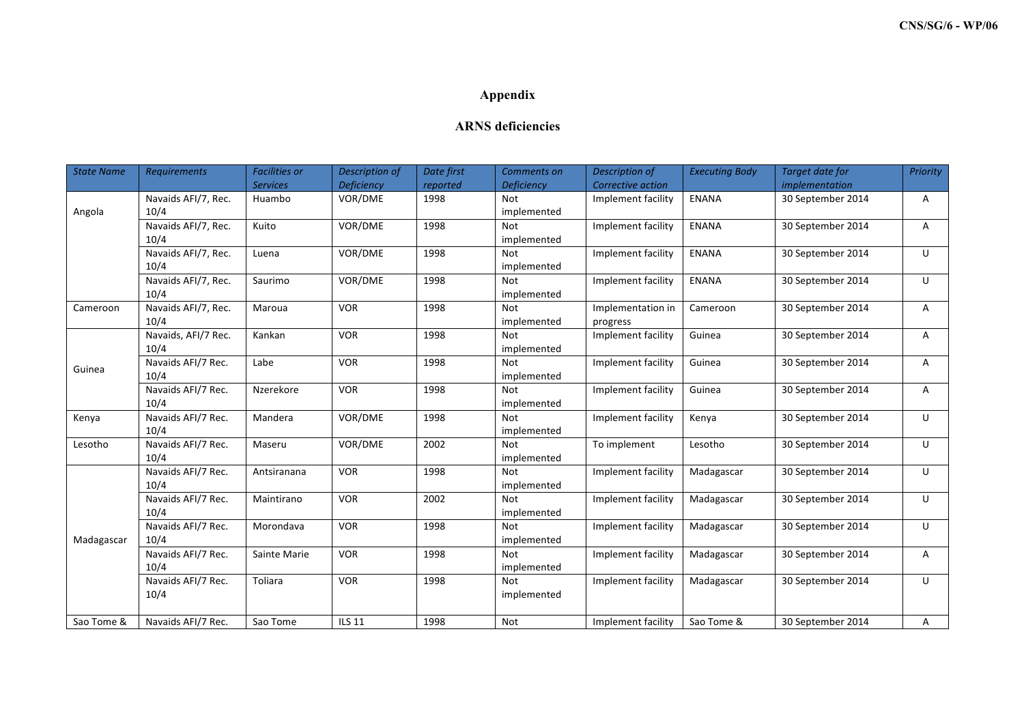## **Appendix**

## **ARNS deficiencies**

| <b>State Name</b> | <b>Requirements</b> | <b>Facilities or</b> | Description of    | Date first | Comments on       | Description of     | <b>Executing Body</b> | <b>Target date for</b> | Priority |
|-------------------|---------------------|----------------------|-------------------|------------|-------------------|--------------------|-----------------------|------------------------|----------|
|                   |                     | <b>Services</b>      | <b>Deficiency</b> | reported   | <b>Deficiency</b> | Corrective action  |                       | implementation         |          |
| Angola            | Navaids AFI/7, Rec. | Huambo               | VOR/DME           | 1998       | <b>Not</b>        | Implement facility | <b>ENANA</b>          | 30 September 2014      | Α        |
|                   | 10/4                |                      |                   |            | implemented       |                    |                       |                        |          |
|                   | Navaids AFI/7, Rec. | Kuito                | VOR/DME           | 1998       | <b>Not</b>        | Implement facility | <b>ENANA</b>          | 30 September 2014      | A        |
|                   | 10/4                |                      |                   |            | implemented       |                    |                       |                        |          |
|                   | Navaids AFI/7, Rec. | Luena                | VOR/DME           | 1998       | <b>Not</b>        | Implement facility | <b>ENANA</b>          | 30 September 2014      | U        |
|                   | 10/4                |                      |                   |            | implemented       |                    |                       |                        |          |
|                   | Navaids AFI/7, Rec. | Saurimo              | VOR/DME           | 1998       | <b>Not</b>        | Implement facility | <b>ENANA</b>          | 30 September 2014      | $\cup$   |
|                   | 10/4                |                      |                   |            | implemented       |                    |                       |                        |          |
| Cameroon          | Navaids AFI/7, Rec. | Maroua               | <b>VOR</b>        | 1998       | <b>Not</b>        | Implementation in  | Cameroon              | 30 September 2014      | A        |
|                   | 10/4                |                      |                   |            | implemented       | progress           |                       |                        |          |
| Guinea            | Navaids, AFI/7 Rec. | Kankan               | <b>VOR</b>        | 1998       | <b>Not</b>        | Implement facility | Guinea                | 30 September 2014      | Α        |
|                   | 10/4                |                      |                   |            | implemented       |                    |                       |                        |          |
|                   | Navaids AFI/7 Rec.  | Labe                 | <b>VOR</b>        | 1998       | <b>Not</b>        | Implement facility | Guinea                | 30 September 2014      | A        |
|                   | 10/4                |                      |                   |            | implemented       |                    |                       |                        |          |
|                   | Navaids AFI/7 Rec.  | Nzerekore            | <b>VOR</b>        | 1998       | <b>Not</b>        | Implement facility | Guinea                | 30 September 2014      | Α        |
|                   | 10/4                |                      |                   |            | implemented       |                    |                       |                        |          |
| Kenya             | Navaids AFI/7 Rec.  | Mandera              | VOR/DME           | 1998       | <b>Not</b>        | Implement facility | Kenya                 | 30 September 2014      | $\cup$   |
|                   | 10/4                |                      |                   |            | implemented       |                    |                       |                        |          |
| Lesotho           | Navaids AFI/7 Rec.  | Maseru               | VOR/DME           | 2002       | <b>Not</b>        | To implement       | Lesotho               | 30 September 2014      | U        |
|                   | 10/4                |                      |                   |            | implemented       |                    |                       |                        |          |
| Madagascar        | Navaids AFI/7 Rec.  | Antsiranana          | <b>VOR</b>        | 1998       | <b>Not</b>        | Implement facility | Madagascar            | 30 September 2014      | U        |
|                   | 10/4                |                      |                   |            | implemented       |                    |                       |                        |          |
|                   | Navaids AFI/7 Rec.  | Maintirano           | <b>VOR</b>        | 2002       | <b>Not</b>        | Implement facility | Madagascar            | 30 September 2014      | U        |
|                   | 10/4                |                      |                   |            | implemented       |                    |                       |                        |          |
|                   | Navaids AFI/7 Rec.  | Morondava            | <b>VOR</b>        | 1998       | <b>Not</b>        | Implement facility | Madagascar            | 30 September 2014      | U        |
|                   | 10/4                |                      |                   |            | implemented       |                    |                       |                        |          |
|                   | Navaids AFI/7 Rec.  | Sainte Marie         | <b>VOR</b>        | 1998       | <b>Not</b>        | Implement facility | Madagascar            | 30 September 2014      | A        |
|                   | 10/4                |                      |                   |            | implemented       |                    |                       |                        |          |
|                   | Navaids AFI/7 Rec.  | Toliara              | <b>VOR</b>        | 1998       | <b>Not</b>        | Implement facility | Madagascar            | 30 September 2014      | U        |
|                   | 10/4                |                      |                   |            | implemented       |                    |                       |                        |          |
|                   |                     |                      |                   |            |                   |                    |                       |                        |          |
| Sao Tome &        | Navaids AFI/7 Rec.  | Sao Tome             | <b>ILS 11</b>     | 1998       | Not               | Implement facility | Sao Tome &            | 30 September 2014      | Α        |